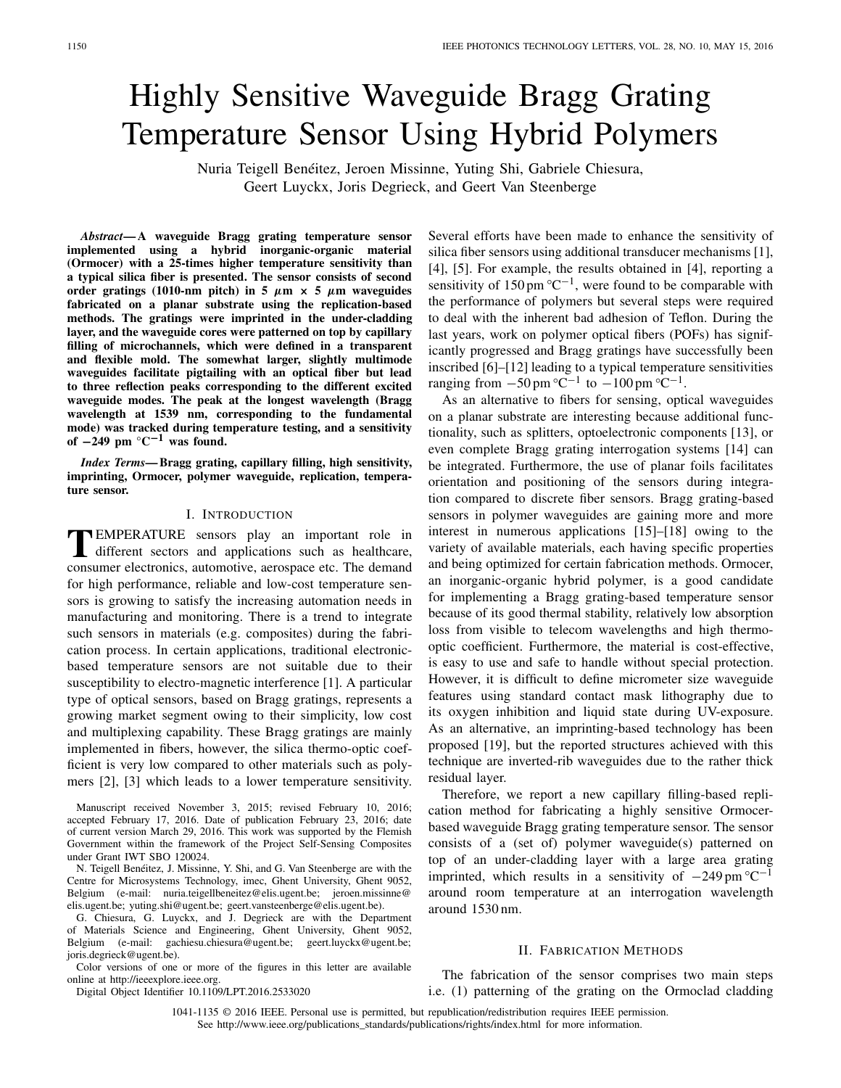# Highly Sensitive Waveguide Bragg Grating Temperature Sensor Using Hybrid Polymers

Nuria Teigell Benéitez, Jeroen Missinne, Yuting Shi, Gabriele Chiesura, Geert Luyckx, Joris Degrieck, and Geert Van Steenberge

*Abstract***— A waveguide Bragg grating temperature sensor implemented using a hybrid inorganic-organic material (Ormocer) with a 25-times higher temperature sensitivity than a typical silica fiber is presented. The sensor consists of second order gratings (1010-nm pitch) in 5**  $\mu$ **m**  $\times$  5  $\mu$ **m** waveguides **fabricated on a planar substrate using the replication-based methods. The gratings were imprinted in the under-cladding layer, and the waveguide cores were patterned on top by capillary filling of microchannels, which were defined in a transparent and flexible mold. The somewhat larger, slightly multimode waveguides facilitate pigtailing with an optical fiber but lead to three reflection peaks corresponding to the different excited waveguide modes. The peak at the longest wavelength (Bragg wavelength at 1539 nm, corresponding to the fundamental mode) was tracked during temperature testing, and a sensitivity of <sup>−</sup>249 pm °C−<sup>1</sup> was found.**

*Index Terms***— Bragg grating, capillary filling, high sensitivity, imprinting, Ormocer, polymer waveguide, replication, temperature sensor.**

# I. INTRODUCTION

**T**EMPERATURE sensors play an important role in different sectors and applications such as healthcare, consumer electronics, automotive, aerospace etc. The demand for high performance, reliable and low-cost temperature sensors is growing to satisfy the increasing automation needs in manufacturing and monitoring. There is a trend to integrate such sensors in materials (e.g. composites) during the fabrication process. In certain applications, traditional electronicbased temperature sensors are not suitable due to their susceptibility to electro-magnetic interference [1]. A particular type of optical sensors, based on Bragg gratings, represents a growing market segment owing to their simplicity, low cost and multiplexing capability. These Bragg gratings are mainly implemented in fibers, however, the silica thermo-optic coefficient is very low compared to other materials such as polymers [2], [3] which leads to a lower temperature sensitivity.

Manuscript received November 3, 2015; revised February 10, 2016; accepted February 17, 2016. Date of publication February 23, 2016; date of current version March 29, 2016. This work was supported by the Flemish Government within the framework of the Project Self-Sensing Composites under Grant IWT SBO 120024.

N. Teigell Benéitez, J. Missinne, Y. Shi, and G. Van Steenberge are with the Centre for Microsystems Technology, imec, Ghent University, Ghent 9052, Belgium (e-mail: nuria.teigellbeneitez@elis.ugent.be; jeroen.missinne@ elis.ugent.be; yuting.shi@ugent.be; geert.vansteenberge@elis.ugent.be).

G. Chiesura, G. Luyckx, and J. Degrieck are with the Department of Materials Science and Engineering, Ghent University, Ghent 9052, Belgium (e-mail: gachiesu.chiesura@ugent.be; geert.luyckx@ugent.be; joris.degrieck@ugent.be).

Color versions of one or more of the figures in this letter are available online at http://ieeexplore.ieee.org.

Digital Object Identifier 10.1109/LPT.2016.2533020

Several efforts have been made to enhance the sensitivity of silica fiber sensors using additional transducer mechanisms [1], [4], [5]. For example, the results obtained in [4], reporting a sensitivity of 150 pm  $\mathrm{°C}^{-1}$ , were found to be comparable with the performance of polymers but several steps were required to deal with the inherent bad adhesion of Teflon. During the last years, work on polymer optical fibers (POFs) has significantly progressed and Bragg gratings have successfully been inscribed [6]–[12] leading to a typical temperature sensitivities ranging from  $-50 \text{ pm } ^{\circ}C^{-1}$  to  $-100 \text{ pm } ^{\circ}C^{-1}$ .

As an alternative to fibers for sensing, optical waveguides on a planar substrate are interesting because additional functionality, such as splitters, optoelectronic components [13], or even complete Bragg grating interrogation systems [14] can be integrated. Furthermore, the use of planar foils facilitates orientation and positioning of the sensors during integration compared to discrete fiber sensors. Bragg grating-based sensors in polymer waveguides are gaining more and more interest in numerous applications [15]–[18] owing to the variety of available materials, each having specific properties and being optimized for certain fabrication methods. Ormocer, an inorganic-organic hybrid polymer, is a good candidate for implementing a Bragg grating-based temperature sensor because of its good thermal stability, relatively low absorption loss from visible to telecom wavelengths and high thermooptic coefficient. Furthermore, the material is cost-effective, is easy to use and safe to handle without special protection. However, it is difficult to define micrometer size waveguide features using standard contact mask lithography due to its oxygen inhibition and liquid state during UV-exposure. As an alternative, an imprinting-based technology has been proposed [19], but the reported structures achieved with this technique are inverted-rib waveguides due to the rather thick residual layer.

Therefore, we report a new capillary filling-based replication method for fabricating a highly sensitive Ormocerbased waveguide Bragg grating temperature sensor. The sensor consists of a (set of) polymer waveguide(s) patterned on top of an under-cladding layer with a large area grating imprinted, which results in a sensitivity of  $-249 \text{ pm }^{\circ}\text{C}^{-1}$ around room temperature at an interrogation wavelength around 1530 nm.

# II. FABRICATION METHODS

The fabrication of the sensor comprises two main steps i.e. (1) patterning of the grating on the Ormoclad cladding

1041-1135 © 2016 IEEE. Personal use is permitted, but republication/redistribution requires IEEE permission. See http://www.ieee.org/publications\_standards/publications/rights/index.html for more information.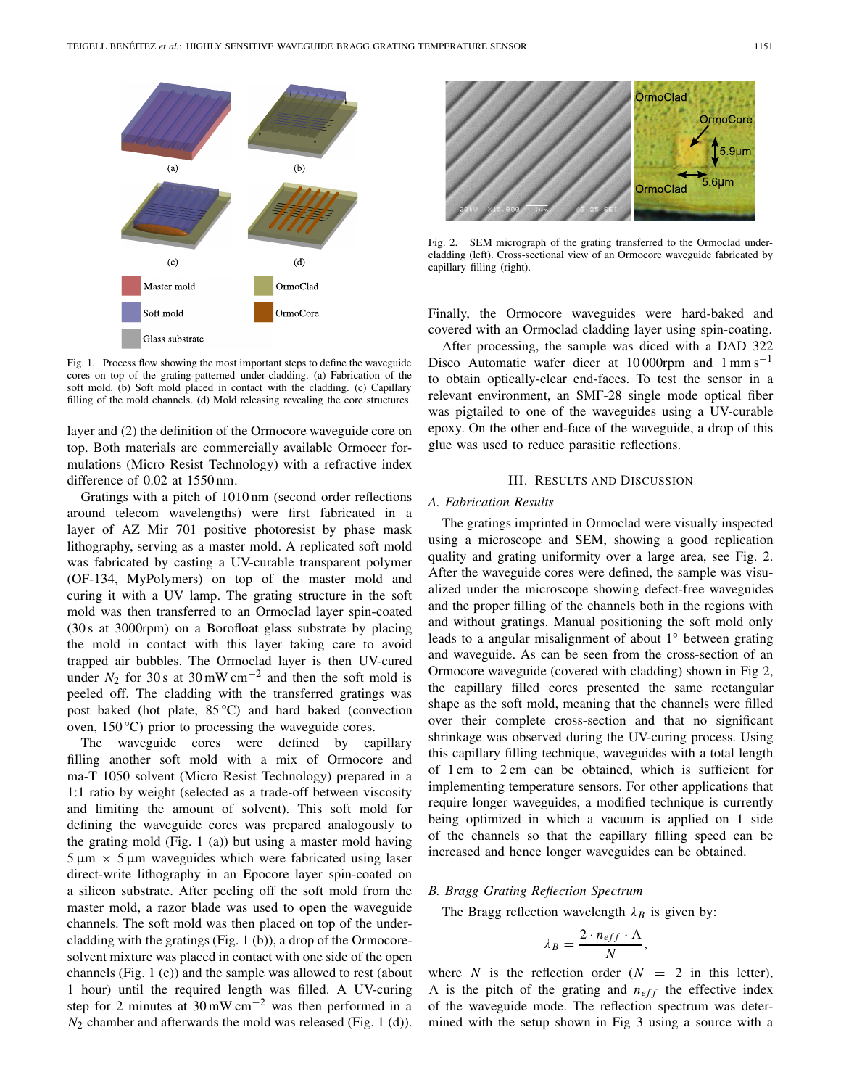

Fig. 1. Process flow showing the most important steps to define the waveguide cores on top of the grating-patterned under-cladding. (a) Fabrication of the soft mold. (b) Soft mold placed in contact with the cladding. (c) Capillary filling of the mold channels. (d) Mold releasing revealing the core structures.

layer and (2) the definition of the Ormocore waveguide core on top. Both materials are commercially available Ormocer formulations (Micro Resist Technology) with a refractive index difference of 0.02 at 1550 nm.

Gratings with a pitch of 1010 nm (second order reflections around telecom wavelengths) were first fabricated in a layer of AZ Mir 701 positive photoresist by phase mask lithography, serving as a master mold. A replicated soft mold was fabricated by casting a UV-curable transparent polymer (OF-134, MyPolymers) on top of the master mold and curing it with a UV lamp. The grating structure in the soft mold was then transferred to an Ormoclad layer spin-coated (30 s at 3000rpm) on a Borofloat glass substrate by placing the mold in contact with this layer taking care to avoid trapped air bubbles. The Ormoclad layer is then UV-cured under  $N_2$  for 30 s at 30 mW cm<sup>-2</sup> and then the soft mold is peeled off. The cladding with the transferred gratings was post baked (hot plate, 85 °C) and hard baked (convection oven,  $150^{\circ}$ C) prior to processing the waveguide cores.

The waveguide cores were defined by capillary filling another soft mold with a mix of Ormocore and ma-T 1050 solvent (Micro Resist Technology) prepared in a 1:1 ratio by weight (selected as a trade-off between viscosity and limiting the amount of solvent). This soft mold for defining the waveguide cores was prepared analogously to the grating mold (Fig. 1 (a)) but using a master mold having  $5 \mu m \times 5 \mu m$  waveguides which were fabricated using laser direct-write lithography in an Epocore layer spin-coated on a silicon substrate. After peeling off the soft mold from the master mold, a razor blade was used to open the waveguide channels. The soft mold was then placed on top of the undercladding with the gratings (Fig. 1 (b)), a drop of the Ormocoresolvent mixture was placed in contact with one side of the open channels (Fig. 1 (c)) and the sample was allowed to rest (about 1 hour) until the required length was filled. A UV-curing step for 2 minutes at  $30 \text{ mW cm}^{-2}$  was then performed in a *N*<sup>2</sup> chamber and afterwards the mold was released (Fig. 1 (d)).



Fig. 2. SEM micrograph of the grating transferred to the Ormoclad undercladding (left). Cross-sectional view of an Ormocore waveguide fabricated by capillary filling (right).

Finally, the Ormocore waveguides were hard-baked and covered with an Ormoclad cladding layer using spin-coating.

After processing, the sample was diced with a DAD 322 Disco Automatic wafer dicer at  $10000$ rpm and  $1 \text{ mm s}^{-1}$ to obtain optically-clear end-faces. To test the sensor in a relevant environment, an SMF-28 single mode optical fiber was pigtailed to one of the waveguides using a UV-curable epoxy. On the other end-face of the waveguide, a drop of this glue was used to reduce parasitic reflections.

#### III. RESULTS AND DISCUSSION

### *A. Fabrication Results*

The gratings imprinted in Ormoclad were visually inspected using a microscope and SEM, showing a good replication quality and grating uniformity over a large area, see Fig. 2. After the waveguide cores were defined, the sample was visualized under the microscope showing defect-free waveguides and the proper filling of the channels both in the regions with and without gratings. Manual positioning the soft mold only leads to a angular misalignment of about 1◦ between grating and waveguide. As can be seen from the cross-section of an Ormocore waveguide (covered with cladding) shown in Fig 2, the capillary filled cores presented the same rectangular shape as the soft mold, meaning that the channels were filled over their complete cross-section and that no significant shrinkage was observed during the UV-curing process. Using this capillary filling technique, waveguides with a total length of 1 cm to 2 cm can be obtained, which is sufficient for implementing temperature sensors. For other applications that require longer waveguides, a modified technique is currently being optimized in which a vacuum is applied on 1 side of the channels so that the capillary filling speed can be increased and hence longer waveguides can be obtained.

#### *B. Bragg Grating Reflection Spectrum*

The Bragg reflection wavelength  $\lambda_B$  is given by:

$$
\lambda_B = \frac{2 \cdot n_{eff} \cdot \Lambda}{N},
$$

where *N* is the reflection order  $(N = 2$  in this letter),  $\Lambda$  is the pitch of the grating and  $n_{eff}$  the effective index of the waveguide mode. The reflection spectrum was determined with the setup shown in Fig 3 using a source with a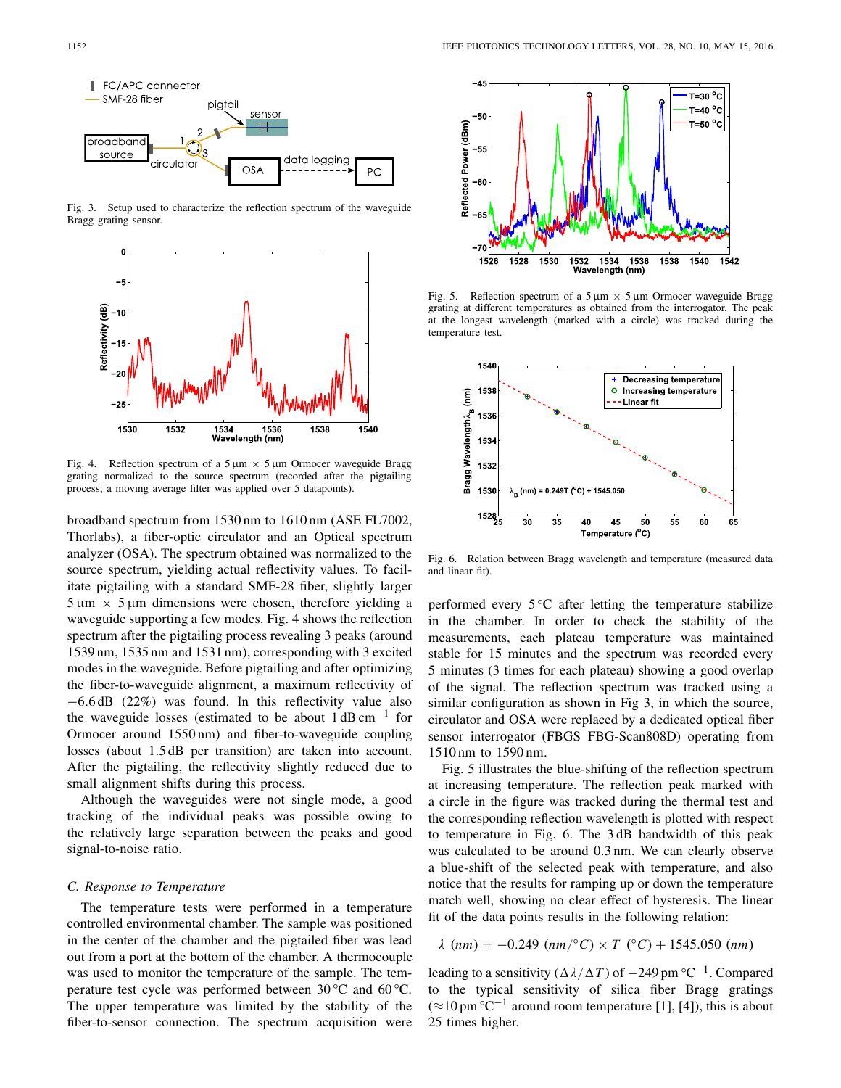

Fig. 3. Setup used to characterize the reflection spectrum of the waveguide Bragg grating sensor.



Fig. 4. Reflection spectrum of a  $5 \mu m \times 5 \mu m$  Ormocer waveguide Bragg grating normalized to the source spectrum (recorded after the pigtailing process; a moving average filter was applied over 5 datapoints).

broadband spectrum from 1530 nm to 1610 nm (ASE FL7002, Thorlabs), a fiber-optic circulator and an Optical spectrum analyzer (OSA). The spectrum obtained was normalized to the source spectrum, yielding actual reflectivity values. To facilitate pigtailing with a standard SMF-28 fiber, slightly larger  $5 \mu m \times 5 \mu m$  dimensions were chosen, therefore yielding a waveguide supporting a few modes. Fig. 4 shows the reflection spectrum after the pigtailing process revealing 3 peaks (around 1539 nm, 1535 nm and 1531 nm), corresponding with 3 excited modes in the waveguide. Before pigtailing and after optimizing the fiber-to-waveguide alignment, a maximum reflectivity of −6.6 dB (22%) was found. In this reflectivity value also the waveguide losses (estimated to be about  $1 \text{ dB cm}^{-1}$  for Ormocer around 1550 nm) and fiber-to-waveguide coupling losses (about 1.5 dB per transition) are taken into account. After the pigtailing, the reflectivity slightly reduced due to small alignment shifts during this process.

Although the waveguides were not single mode, a good tracking of the individual peaks was possible owing to the relatively large separation between the peaks and good signal-to-noise ratio.

#### *C. Response to Temperature*

The temperature tests were performed in a temperature controlled environmental chamber. The sample was positioned in the center of the chamber and the pigtailed fiber was lead out from a port at the bottom of the chamber. A thermocouple was used to monitor the temperature of the sample. The temperature test cycle was performed between  $30^{\circ}$ C and  $60^{\circ}$ C. The upper temperature was limited by the stability of the fiber-to-sensor connection. The spectrum acquisition were



Fig. 5. Reflection spectrum of a  $5 \mu m \times 5 \mu m$  Ormocer waveguide Bragg grating at different temperatures as obtained from the interrogator. The peak at the longest wavelength (marked with a circle) was tracked during the temperature test.



Fig. 6. Relation between Bragg wavelength and temperature (measured data and linear fit).

performed every  $5^{\circ}$ C after letting the temperature stabilize in the chamber. In order to check the stability of the measurements, each plateau temperature was maintained stable for 15 minutes and the spectrum was recorded every 5 minutes (3 times for each plateau) showing a good overlap of the signal. The reflection spectrum was tracked using a similar configuration as shown in Fig 3, in which the source, circulator and OSA were replaced by a dedicated optical fiber sensor interrogator (FBGS FBG-Scan808D) operating from 1510 nm to 1590 nm.

Fig. 5 illustrates the blue-shifting of the reflection spectrum at increasing temperature. The reflection peak marked with a circle in the figure was tracked during the thermal test and the corresponding reflection wavelength is plotted with respect to temperature in Fig. 6. The 3 dB bandwidth of this peak was calculated to be around 0.3 nm. We can clearly observe a blue-shift of the selected peak with temperature, and also notice that the results for ramping up or down the temperature match well, showing no clear effect of hysteresis. The linear fit of the data points results in the following relation:

 $\lambda$  (*nm*) = -0.249 (*nm*/ $\degree$ *C*) × *T* ( $\degree$ *C*) + 1545.050 (*nm*)

leading to a sensitivity ( $\Delta \lambda / \Delta T$ ) of  $-249$  pm °C<sup>-1</sup>. Compared to the typical sensitivity of silica fiber Bragg gratings  $(\approx 10 \,\mathrm{pm} \,^{\circ}\mathrm{C}^{-1}$  around room temperature [1], [4]), this is about 25 times higher.